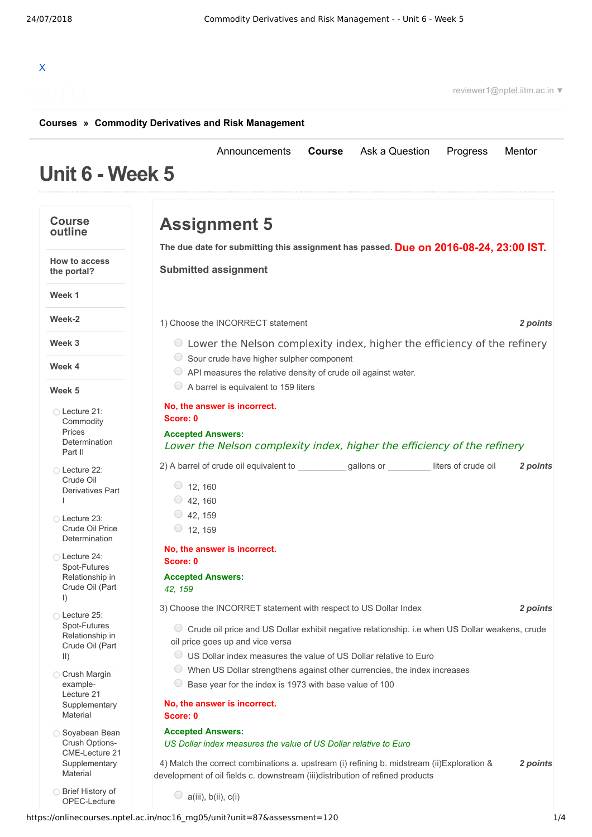# X

reviewer1@nptel.iitm.ac.in ▼

#### **[Courses](https://onlinecourses.nptel.ac.in/) » [Commodity Derivatives and Risk Management](https://onlinecourses.nptel.ac.in/noc16_mg05/course)**

#### **Unit 6 - Week 5** [Announcements](https://onlinecourses.nptel.ac.in/noc16_mg05/announcements) **[Course](https://onlinecourses.nptel.ac.in/noc16_mg05/course)** [Ask a Question](https://onlinecourses.nptel.ac.in/noc16_mg05/forum) [Progress](https://onlinecourses.nptel.ac.in/noc16_mg05/student/home) [Mentor](https://onlinecourses.nptel.ac.in/noc16_mg05/student/mentor) **Course outline How to access the portal? Week 1 Week-2 Week 3 Week 4 Week 5** Lecture 21: **Commodity** Prices [Determination](https://onlinecourses.nptel.ac.in/noc16_mg05/unit?unit=87&lesson=100) Part II Lecture 22: Crude Oil [Derivatives](https://onlinecourses.nptel.ac.in/noc16_mg05/unit?unit=87&lesson=101) Part I Lecture 23: Crude Oil Price [Determination](https://onlinecourses.nptel.ac.in/noc16_mg05/unit?unit=87&lesson=102) Lecture 24: [Spot-Futures](https://onlinecourses.nptel.ac.in/noc16_mg05/unit?unit=87&lesson=103) Relationship in Crude Oil (Part I) Lecture 25: [Spot-Futures](https://onlinecourses.nptel.ac.in/noc16_mg05/unit?unit=87&lesson=104) Relationship in Crude Oil (Part II) **Crush Margin** example-Lecture 21 **[Supplementary](https://onlinecourses.nptel.ac.in/noc16_mg05/link?unit=106)** Material Soyabean Bean Crush Options-CME-Lecture 21 **[Supplementary](https://onlinecourses.nptel.ac.in/noc16_mg05/link?unit=107)** Material Brief History of [OPEC-Lecture](https://onlinecourses.nptel.ac.in/noc16_mg05/link?unit=108) **Due on 2016-08-24, 23:00 IST. The due date for submitting this assignment has passed.** 1) *2 points* Choose the INCORRECT statement 2) A barrel of crude oil equivalent to \_\_\_\_\_\_\_\_\_\_\_\_\_\_\_gallons or \_\_\_\_\_\_\_\_\_\_\_liters of crude oil **2 points** 3) *2 points* Choose the INCORRET statement with respect to US Dollar Index 4) *2 points* Match the correct combinations a. upstream (i) refining b. midstream (ii)Exploration & **Assignment 5 Submitted assignment** Lower the Nelson complexity index, higher the efficiency of the refinery Sour crude have higher sulpher component API measures the relative density of crude oil against water.  $\circ$  A barrel is equivalent to 159 liters **No, the answer is incorrect. Score: 0 Accepted Answers:** Lower the Nelson complexity index, higher the efficiency of the refinery  $\circ$  12, 160  $\circ$  42, 160  $\circ$  42, 159  $\circ$  12, 159 **No, the answer is incorrect. Score: 0 Accepted Answers:** *42, 159* Crude oil price and US Dollar exhibit negative relationship. i.e when US Dollar weakens, crude oil price goes up and vice versa US Dollar index measures the value of US Dollar relative to Euro  $\circlearrowright$  When US Dollar strengthens against other currencies, the index increases  $\circ$  Base year for the index is 1973 with base value of 100 **No, the answer is incorrect. Score: 0 Accepted Answers:** *US Dollar index measures the value of US Dollar relative to Euro* development of oil fields c. downstream (iii)distribution of refined products  $\bigcirc$  a(iii), b(ii), c(i)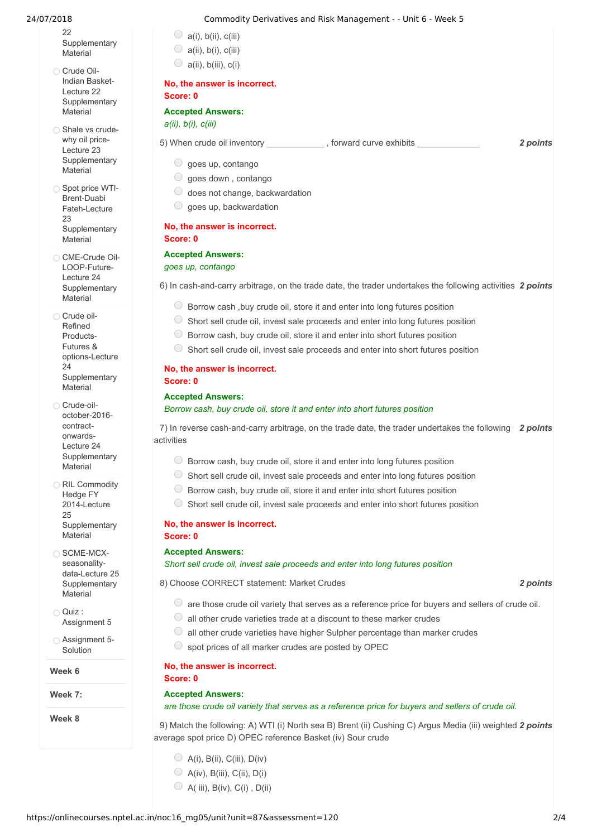$22$ **[Supplementary](https://onlinecourses.nptel.ac.in/noc16_mg05/link?unit=108)** Material

- Crude Oil-Indian Basket-Lecture 22 **[Supplementary](https://onlinecourses.nptel.ac.in/noc16_mg05/link?unit=109)** Material
- Shale vs crudewhy oil price-Lecture 23 **[Supplementary](https://onlinecourses.nptel.ac.in/noc16_mg05/link?unit=110) Material**
- Spot price WTI-Brent-Duabi Fateh-Lecture 23 **[Supplementary](https://onlinecourses.nptel.ac.in/noc16_mg05/link?unit=111) Material**
- CME-Crude Oil-LOOP-Future-Lecture 24 **[Supplementary](https://onlinecourses.nptel.ac.in/noc16_mg05/link?unit=112)** Material

Crude oil-Refined Products-Futures & [options-Lecture](https://onlinecourses.nptel.ac.in/noc16_mg05/link?unit=113)  $24$ **Supplementary** Material

Crude-oiloctober-2016 contractonwards-Lecture 24 [Supplementary](https://onlinecourses.nptel.ac.in/noc16_mg05/link?unit=114) Material

**RIL Commodity** Hedge FY 2014-Lecture 25 **[Supplementary](https://onlinecourses.nptel.ac.in/noc16_mg05/link?unit=115) Material** 

□ SCME-MCXseasonalitydata-Lecture 25 [Supplementary](https://onlinecourses.nptel.ac.in/noc16_mg05/link?unit=117) **Material** 

- $\bigcap$  Quiz : [Assignment](https://onlinecourses.nptel.ac.in/noc16_mg05/assessment?name=120) 5
- [Assignment](https://onlinecourses.nptel.ac.in/noc16_mg05/link?unit=151) 5- **Solution**

**Week 6**

**Week 7:**

**Week 8**

#### 24/07/2018 Commodity Derivatives and Risk Management - - Unit 6 - Week 5

- $\bigcirc$  a(i), b(ii), c(iii)
- $\bigcirc$  a(ii), b(i), c(iii)  $\bigcirc$  a(ii), b(iii), c(i)

# **No, the answer is incorrect.**

# **Score: 0**

# **Accepted Answers:**

*a(ii), b(i), c(iii)*

- 5) *2 points* When crude oil inventory \_\_\_\_\_\_\_\_\_\_\_\_ , forward curve exhibits \_\_\_\_\_\_\_\_\_\_\_\_\_
	- $\circ$  goes up, contango
	- goes down , contango
	- $\circ$  does not change, backwardation
	- $\circ$  goes up, backwardation

### **No, the answer is incorrect. Score: 0**

### **Accepted Answers:**

#### *goes up, contango*

6) In cash-and-carry arbitrage, on the trade date, the trader undertakes the following activities 2 *points* 

- $\circ$  Borrow cash, buy crude oil, store it and enter into long futures position
- $\circ$  Short sell crude oil, invest sale proceeds and enter into long futures position
- $\circ$  Borrow cash, buy crude oil, store it and enter into short futures position
- $\circ$  Short sell crude oil, invest sale proceeds and enter into short futures position

#### **No, the answer is incorrect. Score: 0**

#### **Accepted Answers:**

*Borrow cash, buy crude oil, store it and enter into short futures position*

7) In reverse cash-and-carry arbitrage, on the trade date, the trader undertakes the following 2 *points* activities

- Borrow cash, buy crude oil, store it and enter into long futures position
- $\circ$  Short sell crude oil, invest sale proceeds and enter into long futures position
- $\circledcirc$  Borrow cash, buy crude oil, store it and enter into short futures position
- $\circ$  Short sell crude oil, invest sale proceeds and enter into short futures position

#### **No, the answer is incorrect. Score: 0**

#### **Accepted Answers:**

*Short sell crude oil, invest sale proceeds and enter into long futures position*

8) *2 points* Choose CORRECT statement: Market Crudes

- $\bullet$  are those crude oil variety that serves as a reference price for buyers and sellers of crude oil.
- $\circlearrowright$  all other crude varieties trade at a discount to these marker crudes
- $\circlearrowright$  all other crude varieties have higher Sulpher percentage than marker crudes
- $\circ$  spot prices of all marker crudes are posted by OPEC

#### **No, the answer is incorrect.**

#### **Accepted Answers:**

**Score: 0**

#### *are those crude oil variety that serves as a reference price for buyers and sellers of crude oil.*

9) Match the following: A) WTI (i) North sea B) Brent (ii) Cushing C) Argus Media (iii) weighted 2 points average spot price D) OPEC reference Basket (iv) Sour crude

- $\bigcirc$  A(i), B(ii), C(iii), D(iv)
- $\bigcirc$  A(iv), B(iii), C(ii), D(i)
- $\bigcirc$  A( iii), B(iv), C(i), D(ii)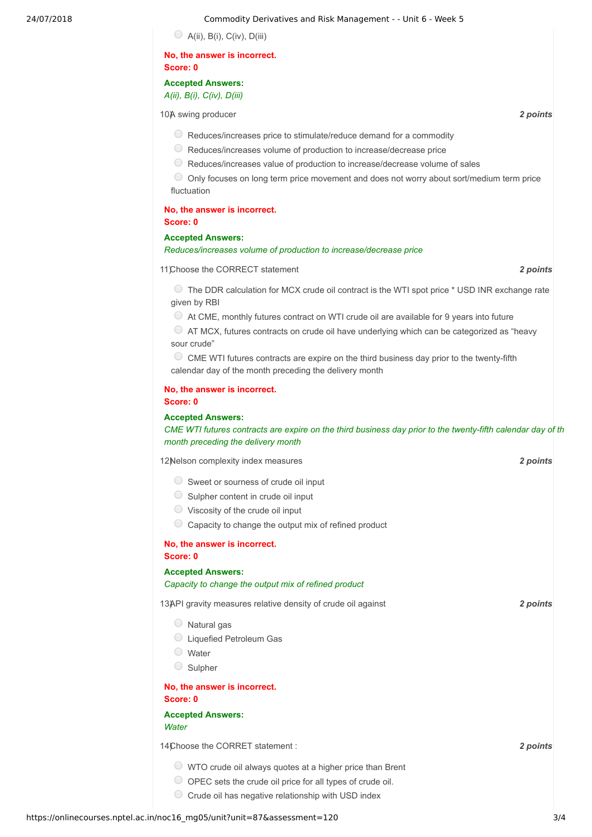#### 24/07/2018 Commodity Derivatives and Risk Management - - Unit 6 - Week 5

 $\bigcirc$  A(ii), B(i), C(iv), D(iii)

#### **No, the answer is incorrect. Score: 0**

#### **Accepted Answers:**

*A(ii), B(i), C(iv), D(iii)*

10) **10)** a swing producer *2 points* 

- $\bigcirc$  Reduces/increases price to stimulate/reduce demand for a commodity
- Reduces/increases volume of production to increase/decrease price
- $\circ$  Reduces/increases value of production to increase/decrease volume of sales

Only focuses on long term price movement and does not worry about sort/medium term price fluctuation

#### **No, the answer is incorrect. Score: 0**

#### **Accepted Answers:**

#### *Reduces/increases volume of production to increase/decrease price*

11) *2 points* Choose the CORRECT statement

The DDR calculation for MCX crude oil contract is the WTI spot price \* USD INR exchange rate given by RBI

 $\circlearrowright$  At CME, monthly futures contract on WTI crude oil are available for 9 years into future

AT MCX, futures contracts on crude oil have underlying which can be categorized as "heavy sour crude"

 $\circ$  CME WTI futures contracts are expire on the third business day prior to the twenty-fifth calendar day of the month preceding the delivery month

#### **No, the answer is incorrect. Score: 0**

#### **Accepted Answers:**

CME WTI futures contracts are expire on the third business day prior to the twenty-fifth calendar day of th *month preceding the delivery month*

12) *2 points* Nelson complexity index measures

- $\circ$  Sweet or sourness of crude oil input
- $\circ$  Sulpher content in crude oil input
- $\circ$  Viscosity of the crude oil input
- Capacity to change the output mix of refined product

## **No, the answer is incorrect.**

**Score: 0**

#### **Accepted Answers:** *Capacity to change the output mix of refined product*

13) *2 points* API gravity measures relative density of crude oil against

- $\circ$  Natural gas
- Liquefied Petroleum Gas
- Water
- $\circ$  Sulpher

**No, the answer is incorrect. Score: 0**

#### **Accepted Answers:** *Water*

14) **2** *points* **2** *points* 

- WTO crude oil always quotes at a higher price than Brent
- $\bigcirc$  OPEC sets the crude oil price for all types of crude oil.
- $\circ$  Crude oil has negative relationship with USD index